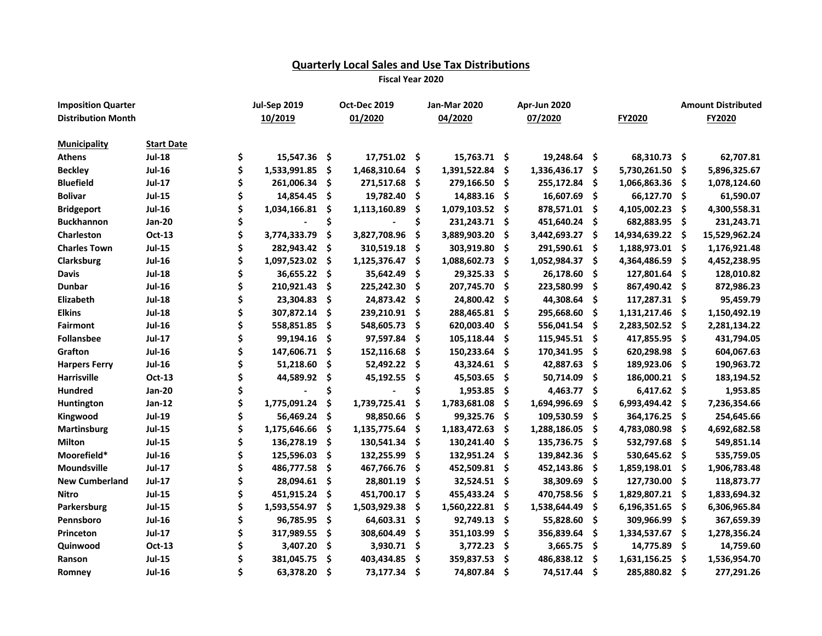## **Quarterly Local Sales and Use Tax Distributions**

**Fiscal Year 2020**

| <b>Imposition Quarter</b> |                   | <b>Jul-Sep 2019</b> |    | Oct-Dec 2019 |     | <b>Jan-Mar 2020</b> |      | Apr-Jun 2020 |     |               | <b>Amount Distributed</b> |               |
|---------------------------|-------------------|---------------------|----|--------------|-----|---------------------|------|--------------|-----|---------------|---------------------------|---------------|
| <b>Distribution Month</b> |                   | 10/2019             |    | 01/2020      |     | 04/2020             |      | 07/2020      |     | FY2020        |                           | FY2020        |
| <b>Municipality</b>       | <b>Start Date</b> |                     |    |              |     |                     |      |              |     |               |                           |               |
| <b>Athens</b>             | <b>Jul-18</b>     | \$<br>15,547.36 \$  |    | 17,751.02 \$ |     | 15,763.71 \$        |      | 19,248.64 \$ |     | 68,310.73 \$  |                           | 62,707.81     |
| <b>Beckley</b>            | <b>Jul-16</b>     | \$<br>1,533,991.85  | \$ | 1,468,310.64 | \$  | 1,391,522.84        | -\$  | 1,336,436.17 | \$  | 5,730,261.50  | \$                        | 5,896,325.67  |
| <b>Bluefield</b>          | <b>Jul-17</b>     | 261,006.34          | \$ | 271,517.68   | \$  | 279,166.50          | - \$ | 255,172.84   | \$  | 1,066,863.36  | -\$                       | 1,078,124.60  |
| <b>Bolivar</b>            | <b>Jul-15</b>     | 14,854.45           | \$ | 19,782.40    | \$. | 14,883.16           | - \$ | 16,607.69    | \$  | 66,127.70     | -S                        | 61,590.07     |
| <b>Bridgeport</b>         | <b>Jul-16</b>     | 1,034,166.81        | Ś  | 1,113,160.89 | \$  | 1,079,103.52        | - \$ | 878,571.01   | \$. | 4,105,002.23  | \$                        | 4,300,558.31  |
| <b>Buckhannon</b>         | <b>Jan-20</b>     |                     |    |              | Ś   | 231,243.71          | - \$ | 451,640.24   | \$  | 682,883.95    | -S                        | 231,243.71    |
| Charleston                | Oct-13            | 3,774,333.79        | \$ | 3,827,708.96 | \$  | 3,889,903.20        | -\$  | 3,442,693.27 | Ś   | 14,934,639.22 | -Ś                        | 15,529,962.24 |
| <b>Charles Town</b>       | <b>Jul-15</b>     | 282,943.42          | Ś  | 310,519.18   | \$  | 303,919.80          | - Ś  | 291,590.61   | Ś   | 1,188,973.01  | - \$                      | 1,176,921.48  |
| Clarksburg                | <b>Jul-16</b>     | 1,097,523.02        | Ŝ  | 1,125,376.47 | Ŝ   | 1,088,602.73        | - \$ | 1,052,984.37 | \$. | 4,364,486.59  | \$.                       | 4,452,238.95  |
| <b>Davis</b>              | <b>Jul-18</b>     | 36,655.22           | \$ | 35,642.49    | S   | 29,325.33           | - \$ | 26,178.60    | S   | 127,801.64    | .s                        | 128,010.82    |
| <b>Dunbar</b>             | <b>Jul-16</b>     | 210,921.43          | \$ | 225,242.30   | \$  | 207,745.70          | - Ś  | 223,580.99   | \$  | 867,490.42    | \$.                       | 872,986.23    |
| Elizabeth                 | <b>Jul-18</b>     | 23,304.83           | \$ | 24,873.42    | Ŝ   | 24,800.42           | - Ś  | 44,308.64    | \$. | 117,287.31 \$ |                           | 95,459.79     |
| <b>Elkins</b>             | <b>Jul-18</b>     | 307,872.14          | \$ | 239,210.91   | .\$ | 288,465.81          | - \$ | 295,668.60   | .\$ | 1,131,217.46  | \$.                       | 1,150,492.19  |
| <b>Fairmont</b>           | <b>Jul-16</b>     | 558,851.85          | \$ | 548,605.73   | \$  | 620,003.40          | - \$ | 556,041.54   | .\$ | 2,283,502.52  | \$.                       | 2,281,134.22  |
| <b>Follansbee</b>         | <b>Jul-17</b>     | 99,194.16           | \$ | 97,597.84    | \$  | 105,118.44          | - \$ | 115,945.51   | .\$ | 417,855.95    | \$                        | 431,794.05    |
| Grafton                   | <b>Jul-16</b>     | 147,606.71          | Ŝ  | 152,116.68   | \$  | 150,233.64          | -\$  | 170,341.95   | Ŝ.  | 620,298.98    | \$                        | 604,067.63    |
| <b>Harpers Ferry</b>      | <b>Jul-16</b>     | 51,218.60           | \$ | 52,492.22    | .\$ | 43,324.61           | -\$  | 42,887.63    | .\$ | 189,923.06    | \$                        | 190,963.72    |
| Harrisville               | Oct-13            | 44,589.92           | \$ | 45,192.55    | \$  | 45,503.65           | -\$  | 50,714.09    | .\$ | 186,000.21    | -S                        | 183,194.52    |
| <b>Hundred</b>            | <b>Jan-20</b>     |                     | Ś  |              | \$  | 1,953.85            | -\$  | 4,463.77     | \$  | 6,417.62      | -\$                       | 1,953.85      |
| Huntington                | <b>Jan-12</b>     | 1,775,091.24        | \$ | 1,739,725.41 | \$  | 1,783,681.08        | -\$  | 1,694,996.69 | \$  | 6,993,494.42  | -\$                       | 7,236,354.66  |
| Kingwood                  | <b>Jul-19</b>     | 56,469.24           | Ś  | 98,850.66    | \$. | 99,325.76           | -\$  | 109,530.59   | Ŝ.  | 364,176.25    | -S                        | 254,645.66    |
| <b>Martinsburg</b>        | <b>Jul-15</b>     | 1,175,646.66        | \$ | 1,135,775.64 | \$. | 1,183,472.63        | -\$  | 1,288,186.05 | \$. | 4,783,080.98  | \$                        | 4,692,682.58  |
| <b>Milton</b>             | <b>Jul-15</b>     | 136,278.19          | \$ | 130,541.34   | \$  | 130,241.40          | -\$  | 135,736.75   | \$  | 532,797.68    | \$                        | 549,851.14    |
| Moorefield*               | <b>Jul-16</b>     | 125,596.03          | \$ | 132,255.99   | \$  | 132,951.24          | - \$ | 139,842.36   | \$  | 530,645.62 \$ |                           | 535,759.05    |
| <b>Moundsville</b>        | <b>Jul-17</b>     | 486,777.58          | \$ | 467,766.76   | \$  | 452,509.81          | - \$ | 452,143.86   | \$. | 1,859,198.01  | - \$                      | 1,906,783.48  |
| <b>New Cumberland</b>     | <b>Jul-17</b>     | 28,094.61           | \$ | 28,801.19    | \$  | 32,524.51           | -\$  | 38,309.69    | \$  | 127,730.00    | -S                        | 118,873.77    |
| Nitro                     | <b>Jul-15</b>     | 451,915.24          | \$ | 451,700.17   | \$  | 455,433.24          | -\$  | 470,758.56   | \$  | 1,829,807.21  | -\$                       | 1,833,694.32  |
| Parkersburg               | <b>Jul-15</b>     | 1,593,554.97        | \$ | 1,503,929.38 | \$  | 1,560,222.81        | -\$  | 1,538,644.49 | \$  | 6,196,351.65  | \$                        | 6,306,965.84  |
| Pennsboro                 | <b>Jul-16</b>     | 96,785.95           | \$ | 64,603.31    | \$. | 92,749.13           | - \$ | 55,828.60    | \$  | 309,966.99    | \$                        | 367,659.39    |
| Princeton                 | <b>Jul-17</b>     | 317,989.55          | \$ | 308,604.49   | \$  | 351,103.99          | -\$  | 356,839.64   | \$  | 1,334,537.67  | \$                        | 1,278,356.24  |
| Quinwood                  | <b>Oct-13</b>     | 3,407.20            | \$ | 3,930.71     | \$  | 3,772.23            | - \$ | 3,665.75     | \$  | 14,775.89     | \$                        | 14,759.60     |
| Ranson                    | <b>Jul-15</b>     | 381,045.75          | Ś  | 403,434.85   | \$  | 359,837.53          | -\$  | 486,838.12   | \$  | 1,631,156.25  | \$                        | 1,536,954.70  |
| Romney                    | <b>Jul-16</b>     | 63,378.20           | Ś  | 73,177.34    | \$  | 74,807.84           | Ŝ    | 74,517.44    | Ś   | 285,880.82    | \$.                       | 277,291.26    |